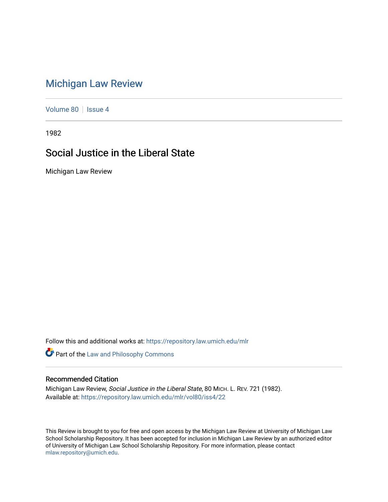## [Michigan Law Review](https://repository.law.umich.edu/mlr)

[Volume 80](https://repository.law.umich.edu/mlr/vol80) | [Issue 4](https://repository.law.umich.edu/mlr/vol80/iss4)

1982

## Social Justice in the Liberal State

Michigan Law Review

Follow this and additional works at: [https://repository.law.umich.edu/mlr](https://repository.law.umich.edu/mlr?utm_source=repository.law.umich.edu%2Fmlr%2Fvol80%2Fiss4%2F22&utm_medium=PDF&utm_campaign=PDFCoverPages) 

Part of the [Law and Philosophy Commons](http://network.bepress.com/hgg/discipline/1299?utm_source=repository.law.umich.edu%2Fmlr%2Fvol80%2Fiss4%2F22&utm_medium=PDF&utm_campaign=PDFCoverPages) 

## Recommended Citation

Michigan Law Review, Social Justice in the Liberal State, 80 MICH. L. REV. 721 (1982). Available at: [https://repository.law.umich.edu/mlr/vol80/iss4/22](https://repository.law.umich.edu/mlr/vol80/iss4/22?utm_source=repository.law.umich.edu%2Fmlr%2Fvol80%2Fiss4%2F22&utm_medium=PDF&utm_campaign=PDFCoverPages) 

This Review is brought to you for free and open access by the Michigan Law Review at University of Michigan Law School Scholarship Repository. It has been accepted for inclusion in Michigan Law Review by an authorized editor of University of Michigan Law School Scholarship Repository. For more information, please contact [mlaw.repository@umich.edu.](mailto:mlaw.repository@umich.edu)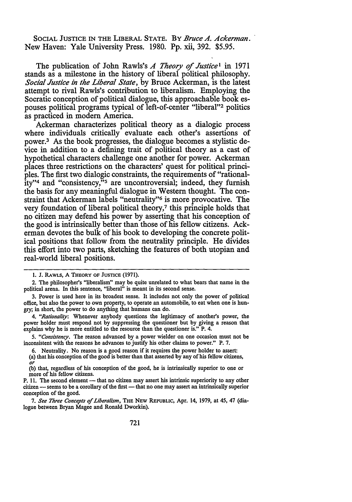SOCIAL JUSTICE IN THE LIBERAL STATE. BY *Bruce A. Ackerman.*  New Haven: Yale University Press. 1980. Pp. xii, 392. \$5.95.

The publication of John Rawls's *A Theory of Justice*<sup>1</sup> in 1971 stands as a milestone in the history of liberal political philosophy. *Social Justice in the Liberal State,* by Bruce Ackerman, is the latest attempt to rival Rawls's contribution to liberalism. Employing the Socratic conception of political dialogue, this approachable book espouses political programs typical of left-of-center "liberal"2 politics as practiced in modem America.

Ackerman characterizes political theory as a dialogic process where individuals critically evaluate each other's assertions of power.3 As the book progresses, the dialogue becomes a stylistic device in addition to a defining trait of political theory as a cast of hypothetical characters challenge one another for power. Ackerman places three restrictions on the characters' quest for political principles. The first two dialogic constraints, the requirements of "rationality"4 and "consistency,"5 are uncontroversial; indeed, they furnish the basis for any meaningful dialogue in Western thought. The constraint that Ackerman labels "neutrality"6 is more provocative. The very foundation of liberal political theory,7 this principle holds that no citizen may defend his power by asserting that his conception of the good is intrinsically better than those of his fellow citizens. Ackerman devotes the bulk of his book to developing the concrete political positions that follow from the neutrality principle. He divides this effort into two parts, sketching the features of both utopian and real-world liberal positions.

<sup>1.</sup> J. RAWLS, A THEORY OF JUSTICE {1971).

<sup>2.</sup> The philosopher's "liberalism" may be quite unrelated to what bears that name in the political arena. In this sentence, "liberal" is meant in its second sense.

<sup>3.</sup> Power is used here in its broadest sense. It includes not only the power of political office, but also the power to own property, to operate an automobile, to eat when one is hungry; in short, the power to do anything that humans can do.

<sup>4.</sup> *"Rationality:* Whenever anybody questions the legitimacy of another's power, the power holder must respond not by suppressing the questioner but by giving a reason that explains why he is more entitled to the resource than the questioner is." P. 4.

<sup>5.</sup> *"Consistency.* The reason advanced by a power wielder on one occasion must not be inconsistent with the reasons he advances to justify his other claims to power." P. 7.

<sup>6.</sup> Neutrality. No reason is a good reason if it requires the power holder to assert:

<sup>(</sup>a) that his conception of the good is better than that asserted by any of his fellow citizens, *or* 

<sup>(</sup>b) that, regardless of his conception of the good, he is intrinsically superior to one or more of his fellow citizens.

P. 11. The second element - that no citizen may assert his intrinsic superiority to any other citizen - seems to be a corollary of the first - that no one may assert an intrinsically superior conception of the good.

<sup>7.</sup> *See Three Concepts* ef *Liberalism,* THE NEW REPUBLIC, Apr. 14, 1979, at 45, 47 (dialogue between Bryan Magee and Ronald Dworkin).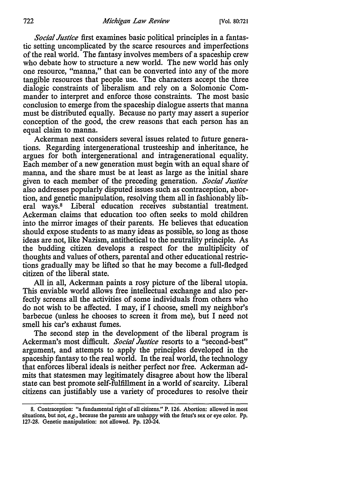*Social Justice* first examines basic political principles in a fantastic setting uncomplicated by the scarce resources and imperfections of the real world. The fantasy involves members of a spaceship crew who debate how to structure a new world. The new world has only one resource, "manna," that can be converted into any of the more tangible resources that people use. The characters accept the three dialogic constraints of liberalism and rely on a Solomonic Commander to interpret and enforce those constraints. The most basic conclusion to emerge from the spaceship dialogue asserts that manna must be distributed equally. Because no party may assert a superior conception of the good, the crew reasons that each person has an equal claim to manna.

Ackerman next considers several issues related to future generations. Regarding intergenerational trusteeship and inheritance, he argues for both intergenerational and intragenerational equality. Each member of a new generation must begin with an equal share of manna, and the share must be at least as large as the initial share given to each member of the preceding generation. *Social Justice*  also addresses popularly disputed issues such as contraception, abortion, and genetic manipulation, resolving them all in fashionably liberal ways.8 Liberal education receives substantial treatment. Ackerman claims that education too often seeks to mold children into the mirror images of their parents. He believes that education should expose students to as many ideas as possible, so long as those ideas are not, like Nazism, antithetical to the neutrality principle. As the budding citizen develops a respect for the multiplicity of thoughts and values of others, parental and other educational restrictions gradually may be lifted so that he may become a full-fledged citizen of the liberal state.

All in all, Ackerman paints a rosy picture of the liberal utopia. This enviable world allows free intellectual exchange and also perfectly screens all the activities of some individuals from others who do not wish to be affected. I may, if I choose, smell my neighbor's barbecue (unless he chooses to screen it from me), but I need not smell his car's exhaust fumes.

The second step in the development of the liberal program is Ackerman's most difficult. *Social Justice* resorts to a "second-best" argument, and attempts to apply the principles developed in the spaceship fantasy to the real world. In the real world, the technology that enforces liberal ideals is neither perfect nor free. Ackerman admits that statesmen may legitimately disagree about how the liberal state can best promote self-fulfillment in a world of scarcity. Liberal citizens can justifiably use a variety of procedures to resolve their

<sup>8.</sup> Contraception: "a fundamental right of all citizens." P. 126. Abortion: allowed in most situations, but not, *e.g.,* because the parents are unhappy with the fetus's sex or eye color. Pp. 127-28. Genetic manipulation: not allowed. Pp. 120-24.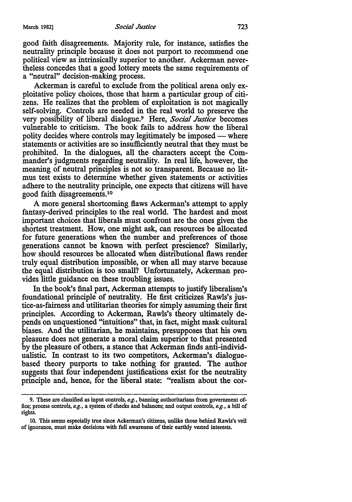good faith disagreements. Majority rule, for instance, satisfies the neutrality principle because it does not purport to recommend one political view as intrinsically superior to another. Ackerman nevertheless concedes that a good lottery meets the same requirements of a "neutral" decision-making process.

Ackerman is careful to exclude from the political arena only exploitative policy choices, those that harm a particular group of citizens. He realizes that the problem of exploitation is not magically self-solving. Controls are needed in the real world to preserve the very possibility of liberal dialogue.9 Here, *Social Justice* becomes vulnerable to criticism. The book fails to address how the liberal polity decides where controls may legitimately be imposed — where statements or activities are so insufficiently neutral that they must be prohibited. In the dialogues, all the characters accept the Commander's judgments regarding neutrality. In real life, however, the meaning of neutral principles is not so transparent. Because no litmus test exists to determine whether given statements or activities adhere to the neutrality principle, one expects that citizens will have good faith disagreements.<sup>10</sup>

A more general shortcoming flaws Ackerman's attempt to apply fantasy-derived principles to the real world. The hardest and most important choices that liberals must confront are the ones given the shortest treatment. How, one might ask, can resources be allocated for future generations when the number and preferences of those generations cannot be known with perfect prescience? Similarly, how should resources be allocated when distributional flaws render truly equal distribution impossible, or when all may starve because the equal distribution is too small? Unfortunately, Ackerman provides little guidance on these troubling issues.

In the book's final part, Ackerman attempts to justify liberalism's foundational principle of neutrality. He first criticizes Rawls's justice-as-fairness and utilitarian theories for simply assuming their first principles. According to Ackerman, Rawls's theory ultimately depends on unquestioned "intuitions" that, in fact, might mask cultural biases. And the utilitarian, he maintains, presupposes that his own pleasure does not generate a moral claim superior to that presented by the pleasure of others, a stance that Ackerman finds anti-individualistic. In contrast to its two competitors, Ackerman's dialoguebased theory purports to take nothing for granted. The author suggests that four independent justifications exist for the neutrality principle and, hence, for the liberal state: "realism about the cor-

<sup>9.</sup> These are classified as input controls, *e.g.,* banning authoritarians from government office; process controls, *e.g.,* a system of checks and balances; and output controls, *e.g.,* a bill of rights.

<sup>10.</sup> This seems especially true since Ackerman's citizens, unlike those behind Rawls's veil of ignorance, must make decisions with full awareness of their earthly vested interests.